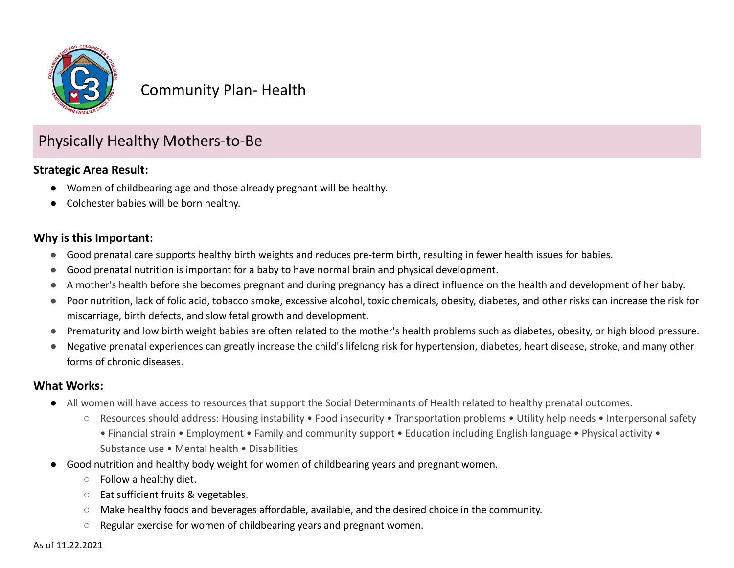

## Community Plan- Health

# Physically Healthy Mothers-to-Be

#### **Strategic Area Result:**

- Women of childbearing age and those already pregnant will be healthy.
- Colchester babies will be born healthy.

### **Why is this Important:**

- Good prenatal care supports healthy birth weights and reduces pre-term birth, resulting in fewer health issues for babies.
- Good prenatal nutrition is important for a baby to have normal brain and physical development.
- A mother's health before she becomes pregnant and during pregnancy has a direct influence on the health and development of her baby.
- Poor nutrition, lack of folic acid, tobacco smoke, excessive alcohol, toxic chemicals, obesity, diabetes, and other risks can increase the risk for miscarriage, birth defects, and slow fetal growth and development.
- Prematurity and low birth weight babies are often related to the mother's health problems such as diabetes, obesity, or high blood pressure.
- Negative prenatal experiences can greatly increase the child's lifelong risk for hypertension, diabetes, heart disease, stroke, and many other forms of chronic diseases.

#### **What Works:**

- All women will have access to resources that support the Social Determinants of Health related to healthy prenatal outcomes.
	- Resources should address: Housing instability Food insecurity Transportation problems Utility help needs Interpersonal safety
		- Financial strain Employment Family and community support Education including English language Physical activity Substance use • Mental health • Disabilities
- Good nutrition and healthy body weight for women of childbearing years and pregnant women.
	- Follow a healthy diet.
	- Eat sufficient fruits & vegetables.
	- Make healthy foods and beverages affordable, available, and the desired choice in the community.
	- Regular exercise for women of childbearing years and pregnant women.